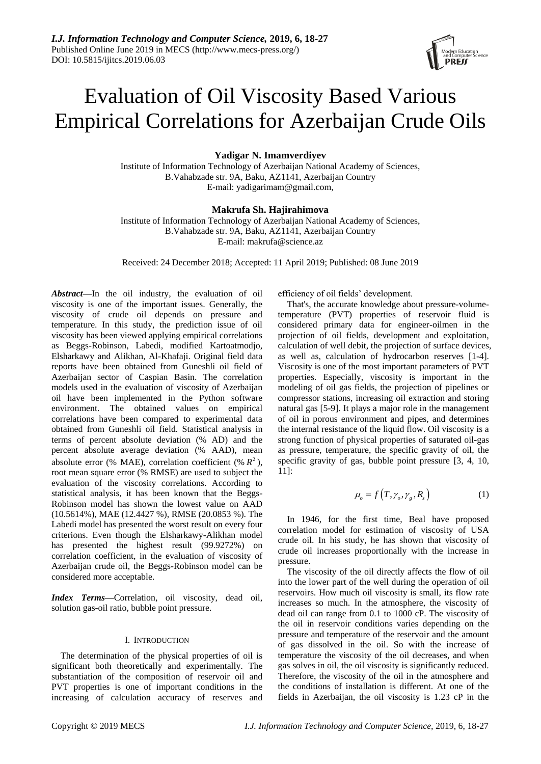# Evaluation of Oil Viscosity Based Various Empirical Correlations for Azerbaijan Crude Oils

# **Yadigar N. Imamverdiyev**

Institute of Information Technology of Azerbaijan National Academy of Sciences, B.Vahabzade str. 9A, Baku, AZ1141, Azerbaijan Country E-mail: yadigarimam@gmail.com,

# **Makrufa Sh. Hajirahimova**

Institute of Information Technology of Azerbaijan National Academy of Sciences, B.Vahabzade str. 9A, Baku, AZ1141, Azerbaijan Country E-mail: makrufa@science.az

Received: 24 December 2018; Accepted: 11 April 2019; Published: 08 June 2019

*Abstract***—**In the oil industry, the evaluation of oil viscosity is one of the important issues. Generally, the viscosity of crude oil depends on pressure and temperature. In this study, the prediction issue of oil viscosity has been viewed applying empirical correlations as Beggs-Robinson, Labedi, modified Kartoatmodjo, Elsharkawy and Alikhan, Al-Khafaji. Original field data reports have been obtained from Guneshli oil field of Azerbaijan sector of Caspian Basin. The correlation models used in the evaluation of viscosity of Azerbaijan oil have been implemented in the Python software environment. The obtained values on empirical correlations have been compared to experimental data obtained from Guneshli oil field. Statistical analysis in terms of percent absolute deviation (% AD) and the percent absolute average deviation (% AAD), mean absolute error (% MAE), correlation coefficient (%  $R^2$ ), root mean square error (% RMSE) are used to subject the evaluation of the viscosity correlations. According to statistical analysis, it has been known that the Beggs-Robinson model has shown the lowest value on AAD (10.5614%), MAE (12.4427 %), RMSE (20.0853 %). The Labedi model has presented the worst result on every four criterions. Even though the Elsharkawy-Alikhan model has presented the highest result (99.9272%) on correlation coefficient, in the evaluation of viscosity of Azerbaijan crude oil, the Beggs-Robinson model can be considered more acceptable.

*Index Terms***—**Correlation, oil viscosity, dead oil, solution gas-oil ratio, bubble point pressure.

# I. INTRODUCTION

The determination of the physical properties of oil is significant both theoretically and experimentally. The substantiation of the composition of reservoir oil and PVT properties is one of important conditions in the increasing of calculation accuracy of reserves and efficiency of oil fields" development.

That's, the accurate knowledge about pressure-volumetemperature (PVT) properties of reservoir fluid is considered primary data for engineer-oilmen in the projection of oil fields, development and exploitation, calculation of well debit, the projection of surface devices, as well as, calculation of hydrocarbon reserves [1-4]. Viscosity is one of the most important parameters of PVT properties. Especially, viscosity is important in the modeling of oil gas fields, the projection of pipelines or compressor stations, increasing oil extraction and storing natural gas [5-9]. It plays a major role in the management of oil in porous environment and pipes, and determines the internal resistance of the liquid flow. Oil viscosity is a strong function of physical properties of saturated oil-gas as pressure, temperature, the specific gravity of oil, the specific gravity of gas, bubble point pressure [3, 4, 10, 11]:

$$
\mu_o = f\left(T, \gamma_o, \gamma_g, R_s\right) \tag{1}
$$

In 1946, for the first time, Beal have proposed correlation model for estimation of viscosity of USA crude oil. In his study, he has shown that viscosity of crude oil increases proportionally with the increase in pressure.

The viscosity of the oil directly affects the flow of oil into the lower part of the well during the operation of oil reservoirs. How much oil viscosity is small, its flow rate increases so much. In the atmosphere, the viscosity of dead oil can range from 0.1 to 1000 cP. The viscosity of the oil in reservoir conditions varies depending on the pressure and temperature of the reservoir and the amount of gas dissolved in the oil. So with the increase of temperature the viscosity of the oil decreases, and when gas solves in oil, the oil viscosity is significantly reduced. Therefore, the viscosity of the oil in the atmosphere and the conditions of installation is different. At one of the fields in Azerbaijan, the oil viscosity is 1.23 cP in the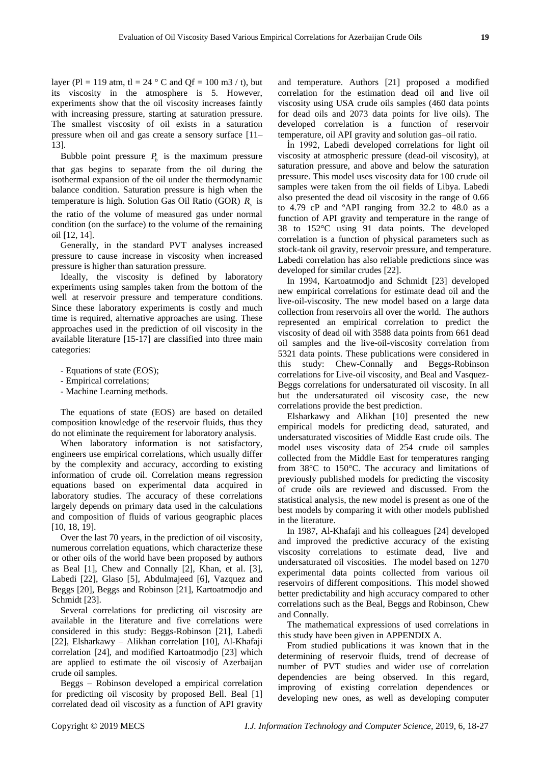layer (Pl = 119 atm, tl = 24  $\degree$ C and Qf = 100 m3 / t), but its viscosity in the atmosphere is 5. However, experiments show that the oil viscosity increases faintly with increasing pressure, starting at saturation pressure. The smallest viscosity of oil exists in a saturation pressure when oil and gas create a sensory surface [11– 13].

Bubble point pressure  $P_b$  is the maximum pressure that gas begins to separate from the oil during the isothermal expansion of the oil under the thermodynamic balance condition. Saturation pressure is high when the temperature is high. Solution Gas Oil Ratio (GOR) *R s* is the ratio of the volume of measured gas under normal condition (on the surface) to the volume of the remaining oil [12, 14].

Generally, in the standard PVT analyses increased pressure to cause increase in viscosity when increased pressure is higher than saturation pressure.

Ideally, the viscosity is defined by laboratory experiments using samples taken from the bottom of the well at reservoir pressure and temperature conditions. Since these laboratory experiments is costly and much time is required, alternative approaches are using. These approaches used in the prediction of oil viscosity in the available literature [15-17] are classified into three main categories:

- Equations of state (EOS);
- Empirical correlations;
- Machine Learning methods.

The equations of state (EOS) are based on detailed composition knowledge of the reservoir fluids, thus they do not eliminate the requirement for laboratory analysis.

When laboratory information is not satisfactory, engineers use empirical correlations, which usually differ by the complexity and accuracy, according to existing information of crude oil. Correlation means regression equations based on experimental data acquired in laboratory studies. The accuracy of these correlations largely depends on primary data used in the calculations and composition of fluids of various geographic places [10, 18, 19].

Over the last 70 years, in the prediction of oil viscosity, numerous correlation equations, which characterize these or other oils of the world have been proposed by authors as Beal [1], Chew and Connally [2], Khan, et al. [3], Labedi [22], Glaso [5], Abdulmajeed [6], Vazquez and Beggs [20], Beggs and Robinson [21], Kartoatmodjo and Schmidt [23].

Several correlations for predicting oil viscosity are available in the literature and five correlations were considered in this study: Beggs-Robinson [21], Labedi [22], Elsharkawy – Alikhan correlation [10], Al-Khafaji correlation [24], and modified Kartoatmodjo [23] which are applied to estimate the oil viscosiy of Azerbaijan crude oil samples.

Beggs – Robinson developed a empirical correlation for predicting oil viscosity by proposed Bell. Beal [1] correlated dead oil viscosity as a function of API gravity

and temperature. Authors [21] proposed a modified correlation for the estimation dead oil and live oil viscosity using USA crude oils samples (460 data points for dead oils and 2073 data points for live oils). The developed correlation is a function of reservoir temperature, oil API gravity and solution gas–oil ratio.

İn 1992, Labedi developed correlations for light oil viscosity at atmospheric pressure (dead-oil viscosity), at saturation pressure, and above and below the saturation pressure. This model uses viscosity data for 100 crude oil samples were taken from the oil fields of Libya. Labedi also presented the dead oil viscosity in the range of 0.66 to 4.79 cP and ºAPI ranging from 32.2 to 48.0 as a function of API gravity and temperature in the range of 38 to  $152^{\circ}$  using 91 data points. The developed correlation is a function of physical parameters such as stock-tank oil gravity, reservoir pressure, and temperature. Labedi correlation has also reliable predictions since was developed for similar crudes [22].

In 1994, Kartoatmodjo and Schmidt [23] developed new empirical correlations for estimate dead oil and the live-oil-viscosity. The new model based on a large data collection from reservoirs all over the world. The authors represented an empirical correlation to predict the viscosity of dead oil with 3588 data points from 661 dead oil samples and the live-oil-viscosity correlation from 5321 data points. These publications were considered in this study: Chew-Connally and Beggs-Robinson correlations for Live-oil viscosity, and Beal and Vasquez-Beggs correlations for undersaturated oil viscosity. In all but the undersaturated oil viscosity case, the new correlations provide the best prediction.

Elsharkawy and Alikhan [10] presented the new empirical models for predicting dead, saturated, and undersaturated viscosities of Middle East crude oils. The model uses viscosity data of 254 crude oil samples collected from the Middle East for temperatures ranging from  $38\text{°C}$  to  $150\text{°C}$ . The accuracy and limitations of previously published models for predicting the viscosity of crude oils are reviewed and discussed. From the statistical analysis, the new model is present as one of the best models by comparing it with other models published in the literature.

In 1987, Al-Khafaji and his colleagues [24] developed and improved the predictive accuracy of the existing viscosity correlations to estimate dead, live and undersaturated oil viscosities. The model based on 1270 experimental data points collected from various oil reservoirs of different compositions. This model showed better predictability and high accuracy compared to other correlations such as the Beal, Beggs and Robinson, Chew and Connally.

The mathematical expressions of used correlations in this study have been given in APPENDIX A.

From studied publications it was known that in the determining of reservoir fluids, trend of decrease of number of PVT studies and wider use of correlation dependencies are being observed. In this regard, improving of existing correlation dependences or developing new ones, as well as developing computer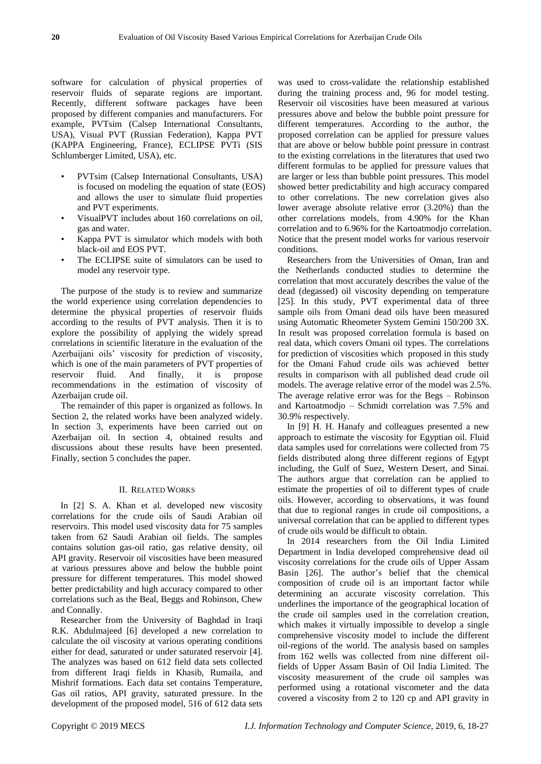software for calculation of physical properties of reservoir fluids of separate regions are important. Recently, different software packages have been proposed by different companies and manufacturers. For example, PVTsim (Calsep International Consultants, USA), Visual PVT (Russian Federation), Kappa PVT (KAPPA Engineering, France), ECLIPSE PVTi (SIS Schlumberger Limited, USA), etc.

- PVTsim (Calsep International Consultants, USA) is focused on modeling the equation of state (EOS) and allows the user to simulate fluid properties and PVT experiments.
- VisualPVT includes about 160 correlations on oil, gas and water.
- Kappa PVT is simulator which models with both black-oil and EOS PVT.
- The ECLIPSE suite of simulators can be used to model any reservoir type.

The purpose of the study is to review and summarize the world experience using correlation dependencies to determine the physical properties of reservoir fluids according to the results of PVT analysis. Then it is to explore the possibility of applying the widely spread correlations in scientific literature in the evaluation of the Azerbaijani oils" viscosity for prediction of viscosity, which is one of the main parameters of PVT properties of reservoir fluid. And finally, it is propose recommendations in the estimation of viscosity of Azerbaijan crude oil.

The remainder of this paper is organized as follows. In Section 2, the related works have been analyzed widely. In section 3, experiments have been carried out on Azerbaijan oil. In section 4, obtained results and discussions about these results have been presented. Finally, section 5 concludes the paper.

#### II. RELATED WORKS

In [2] S. A. Khan et al. developed new viscosity correlations for the crude oils of Saudi Arabian oil reservoirs. This model used viscosity data for 75 samples taken from 62 Saudi Arabian oil fields. The samples contains solution gas-oil ratio, gas relative density, oil API gravity. Reservoir oil viscosities have been measured at various pressures above and below the bubble point pressure for different temperatures. This model showed better predictability and high accuracy compared to other correlations such as the Beal, Beggs and Robinson, Chew and Connally.

Researcher from the University of Baghdad in Iraqi R.K. Abdulmajeed [6] developed a new correlation to calculate the oil viscosity at various operating conditions either for dead, saturated or under saturated reservoir [4]. The analyzes was based on 612 field data sets collected from different Iraqi fields in Khasib, Rumaila, and Mishrif formations. Each data set contains Temperature, Gas oil ratios, API gravity, saturated pressure. In the development of the proposed model, 516 of 612 data sets

was used to cross-validate the relationship established during the training process and, 96 for model testing. Reservoir oil viscosities have been measured at various pressures above and below the bubble point pressure for different temperatures. According to the author, the proposed correlation can be applied for pressure values that are above or below bubble point pressure in contrast to the existing correlations in the literatures that used two different formulas to be applied for pressure values that are larger or less than bubble point pressures. This model showed better predictability and high accuracy compared to other correlations. The new correlation gives also lower average absolute relative error (3.20%) than the other correlations models, from 4.90% for the Khan correlation and to 6.96% for the Kartoatmodjo correlation. Notice that the present model works for various reservoir conditions.

Researchers from the Universities of Oman, Iran and the Netherlands conducted studies to determine the correlation that most accurately describes the value of the dead (degassed) oil viscosity depending on temperature [25]. In this study, PVT experimental data of three sample oils from Omani dead oils have been measured using Automatic Rheometer System Gemini 150/200 3X. In result was proposed correlation formula is based on real data, which covers Omani oil types. The correlations for prediction of viscosities which proposed in this study for the Omani Fahud crude oils was achieved better results in comparison with all published dead crude oil models. The average relative error of the model was 2.5%. The average relative error was for the Begs – Robinson and Kartoatmodjo – Schmidt correlation was 7.5% and 30.9% respectively.

In [9] H. H. Hanafy and colleagues presented a new approach to estimate the viscosity for Egyptian oil. Fluid data samples used for correlations were collected from 75 fields distributed along three different regions of Egypt including, the Gulf of Suez, Western Desert, and Sinai. The authors argue that correlation can be applied to estimate the properties of oil to different types of crude oils. However, according to observations, it was found that due to regional ranges in crude oil compositions, a universal correlation that can be applied to different types of crude oils would be difficult to obtain.

In 2014 researchers from the Oil India Limited Department in India developed comprehensive dead oil viscosity correlations for the crude oils of Upper Assam Basin [26]. The author's belief that the chemical composition of crude oil is an important factor while determining an accurate viscosity correlation. This underlines the importance of the geographical location of the crude oil samples used in the correlation creation, which makes it virtually impossible to develop a single comprehensive viscosity model to include the different oil-regions of the world. The analysis based on samples from 162 wells was collected from nine different oilfields of Upper Assam Basin of Oil India Limited. The viscosity measurement of the crude oil samples was performed using a rotational viscometer and the data covered a viscosity from 2 to 120 cp and API gravity in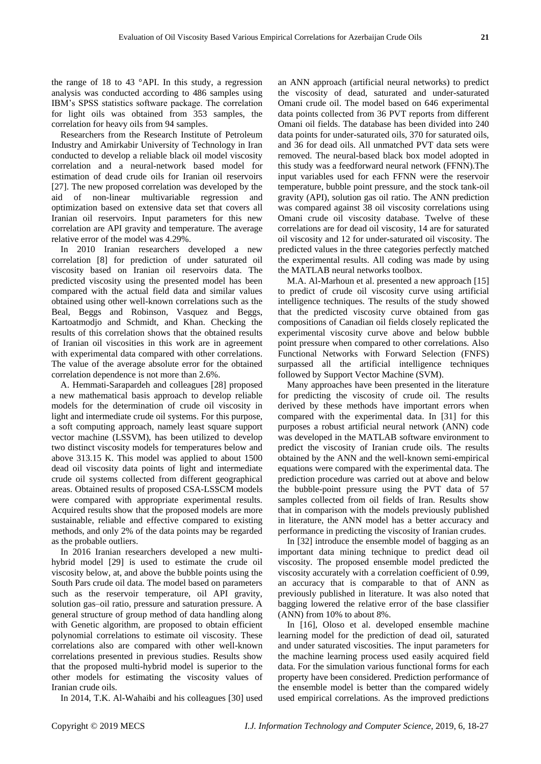the range of 18 to 43 °API. In this study, a regression analysis was conducted according to 486 samples using IBM"s SPSS statistics software package. The correlation for light oils was obtained from 353 samples, the correlation for heavy oils from 94 samples.

Researchers from the Research Institute of Petroleum Industry and Amirkabir University of Technology in Iran conducted to develop a reliable black oil model viscosity correlation and a neural-network based model for estimation of dead crude oils for Iranian oil reservoirs [27]. The new proposed correlation was developed by the aid of non-linear multivariable regression and optimization based on extensive data set that covers all Iranian oil reservoirs. Input parameters for this new correlation are API gravity and temperature. The average relative error of the model was 4.29%.

In 2010 Iranian researchers developed a new correlation [8] for prediction of under saturated oil viscosity based on Iranian oil reservoirs data. The predicted viscosity using the presented model has been compared with the actual field data and similar values obtained using other well-known correlations such as the Beal, Beggs and Robinson, Vasquez and Beggs, Kartoatmodjo and Schmidt, and Khan. Checking the results of this correlation shows that the obtained results of Iranian oil viscosities in this work are in agreement with experimental data compared with other correlations. The value of the average absolute error for the obtained correlation dependence is not more than 2.6%.

A. Hemmati-Sarapardeh and colleagues [28] proposed a new mathematical basis approach to develop reliable models for the determination of crude oil viscosity in light and intermediate crude oil systems. For this purpose, a soft computing approach, namely least square support vector machine (LSSVM), has been utilized to develop two distinct viscosity models for temperatures below and above 313.15 K. This model was applied to about 1500 dead oil viscosity data points of light and intermediate crude oil systems collected from different geographical areas. Obtained results of proposed CSA-LSSCM models were compared with appropriate experimental results. Acquired results show that the proposed models are more sustainable, reliable and effective compared to existing methods, and only 2% of the data points may be regarded as the probable outliers.

In 2016 Iranian researchers developed a new multihybrid model [29] is used to estimate the crude oil viscosity below, at, and above the bubble points using the South Pars crude oil data. The model based on parameters such as the reservoir temperature, oil API gravity, solution gas–oil ratio, pressure and saturation pressure. A general structure of group method of data handling along with Genetic algorithm, are proposed to obtain efficient polynomial correlations to estimate oil viscosity. These correlations also are compared with other well-known correlations presented in previous studies. Results show that the proposed multi-hybrid model is superior to the other models for estimating the viscosity values of Iranian crude oils.

In 2014, T.K. Al-Wahaibi and his colleagues [30] used

an ANN approach (artificial neural networks) to predict the viscosity of dead, saturated and under-saturated Omani crude oil. The model based on 646 experimental data points collected from 36 PVT reports from different Omani oil fields. The database has been divided into 240 data points for under-saturated oils, 370 for saturated oils, and 36 for dead oils. All unmatched PVT data sets were removed. The neural-based black box model adopted in this study was a feedforward neural network (FFNN).The input variables used for each FFNN were the reservoir temperature, bubble point pressure, and the stock tank-oil gravity (API), solution gas oil ratio. The ANN prediction was compared against 38 oil viscosity correlations using Omani crude oil viscosity database. Twelve of these correlations are for dead oil viscosity, 14 are for saturated oil viscosity and 12 for under-saturated oil viscosity. The predicted values in the three categories perfectly matched the experimental results. All coding was made by using the MATLAB neural networks toolbox.

M.A. Al-Marhoun et al. presented a new approach [15] to predict of crude oil viscosity curve using artificial intelligence techniques. The results of the study showed that the predicted viscosity curve obtained from gas compositions of Canadian oil fields closely replicated the experimental viscosity curve above and below bubble point pressure when compared to other correlations. Also Functional Networks with Forward Selection (FNFS) surpassed all the artificial intelligence techniques followed by Support Vector Machine (SVM).

Many approaches have been presented in the literature for predicting the viscosity of crude oil. The results derived by these methods have important errors when compared with the experimental data. In [31] for this purposes a robust artificial neural network (ANN) code was developed in the MATLAB software environment to predict the viscosity of Iranian crude oils. The results obtained by the ANN and the well-known semi-empirical equations were compared with the experimental data. The prediction procedure was carried out at above and below the bubble-point pressure using the PVT data of 57 samples collected from oil fields of Iran. Results show that in comparison with the models previously published in literature, the ANN model has a better accuracy and performance in predicting the viscosity of Iranian crudes.

In [32] introduce the ensemble model of bagging as an important data mining technique to predict dead oil viscosity. The proposed ensemble model predicted the viscosity accurately with a correlation coefficient of 0.99, an accuracy that is comparable to that of ANN as previously published in literature. It was also noted that bagging lowered the relative error of the base classifier (ANN) from 10% to about 8%.

In [16], Oloso et al. developed ensemble machine learning model for the prediction of dead oil, saturated and under saturated viscosities. The input parameters for the machine learning process used easily acquired field data. For the simulation various functional forms for each property have been considered. Prediction performance of the ensemble model is better than the compared widely used empirical correlations. As the improved predictions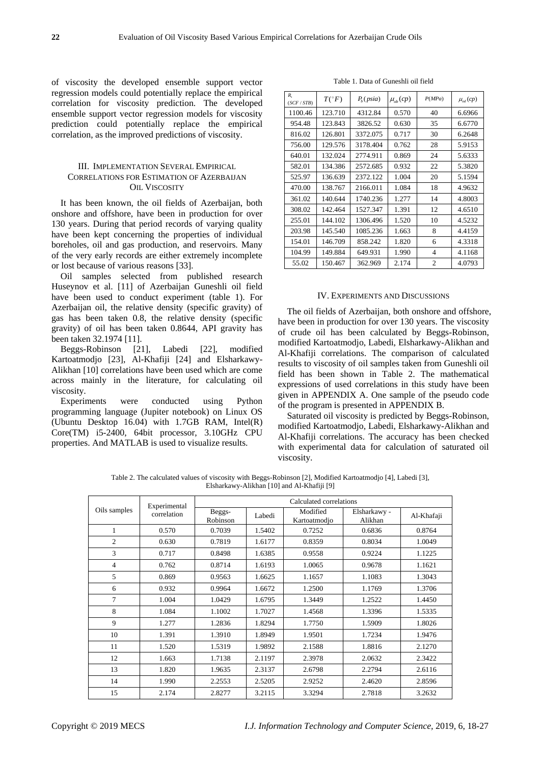of viscosity the developed ensemble support vector regression models could potentially replace the empirical correlation for viscosity prediction. The developed ensemble support vector regression models for viscosity prediction could potentially replace the empirical correlation, as the improved predictions of viscosity.

# III. IMPLEMENTATION SEVERAL EMPIRICAL CORRELATIONS FOR ESTIMATION OF AZERBAIJAN OIL VISCOSITY

It has been known, the oil fields of Azerbaijan, both onshore and offshore, have been in production for over 130 years. During that period records of varying quality have been kept concerning the properties of individual boreholes, oil and gas production, and reservoirs. Many of the very early records are either extremely incomplete or lost because of various reasons [33].

Oil samples selected from published research Huseynov et al. [11] of Azerbaijan Guneshli oil field have been used to conduct experiment (table 1). For Azerbaijan oil, the relative density (specific gravity) of gas has been taken 0.8, the relative density (specific gravity) of oil has been taken 0.8644, API gravity has been taken 32.1974 [11].

Beggs-Robinson [21], Labedi [22], modified Kartoatmodjo [23], Al-Khafiji [24] and Elsharkawy-Alikhan [10] correlations have been used which are come across mainly in the literature, for calculating oil viscosity.

Experiments were conducted using Python programming language (Jupiter notebook) on Linux OS (Ubuntu Desktop [16.04\)](tel:1604) with 1.7GB RAM, Intel(R) Core(TM) [i5-2400,](tel:52400) 64bit processor, 3.10GHz CPU properties. And MATLAB is used to visualize results.

Table 1. Data of Guneshli oil field

| R.<br>(SCF / STB) | $T({}^{\circ}F)$ | P <sub>b</sub> (psia) | $\mu_{ob}(cp)$ | P(MPa)         | $\mu_{od}(cp)$ |
|-------------------|------------------|-----------------------|----------------|----------------|----------------|
| 1100.46           | 123.710          | 4312.84               | 0.570          | 40             | 6.6966         |
| 954.48            | 123.843          | 3826.52               | 0.630          | 35             | 6.6770         |
| 816.02            | 126.801          | 3372.075              | 0.717          | 30             | 6.2648         |
| 756.00            | 129.576          | 3178.404              | 0.762          | 28             | 5.9153         |
| 640.01            | 132.024          | 2774.911              | 0.869          | 24             | 5.6333         |
| 582.01            | 134.386          | 2572.685              | 0.932          | 22             | 5.3820         |
| 525.97            | 136.639          | 2372.122              | 1.004          | 20             | 5.1594         |
| 470.00            | 138.767          | 2166.011              | 1.084          | 18             | 4.9632         |
| 361.02            | 140.644          | 1740.236              | 1.277          | 14             | 4.8003         |
| 308.02            | 142.464          | 1527.347              | 1.391          | 12             | 4.6510         |
| 255.01            | 144.102          | 1306.496              | 1.520          | 10             | 4.5232         |
| 203.98            | 145.540          | 1085.236              | 1.663          | 8              | 4.4159         |
| 154.01            | 146.709          | 858.242               | 1.820          | 6              | 4.3318         |
| 104.99            | 149.884          | 649.931               | 1.990          | 4              | 4.1168         |
| 55.02             | 150.467          | 362.969               | 2.174          | $\overline{2}$ | 4.0793         |

#### IV. EXPERIMENTS AND DISCUSSIONS

The oil fields of Azerbaijan, both onshore and offshore, have been in production for over 130 years. The viscosity of crude oil has been calculated by Beggs-Robinson, modified Kartoatmodjo, Labedi, Elsharkawy-Alikhan and Al-Khafiji correlations. The comparison of calculated results to viscosity of oil samples taken from Guneshli oil field has been shown in Table 2. The mathematical expressions of used correlations in this study have been given in APPENDIX A. One sample of the pseudo code of the program is presented in APPENDIX B.

Saturated oil viscosity is predicted by Beggs-Robinson, modified Kartoatmodjo, Labedi, Elsharkawy-Alikhan and Al-Khafiji correlations. The accuracy has been checked with experimental data for calculation of saturated oil viscosity.

Table 2. The calculated values of viscosity with Beggs-Robinson [2], Modified Kartoatmodjo [4], Labedi [3], Elsharkawy-Alikhan [10] and Al-Khafiji [9]

| Experimental   |             | Calculated correlations |        |                          |                         |            |  |
|----------------|-------------|-------------------------|--------|--------------------------|-------------------------|------------|--|
| Oils samples   | correlation | Beggs-<br>Robinson      | Labedi | Modified<br>Kartoatmodjo | Elsharkawy -<br>Alikhan | Al-Khafaji |  |
| 1              | 0.570       | 0.7039                  | 1.5402 | 0.7252                   | 0.6836                  | 0.8764     |  |
| $\overline{2}$ | 0.630       | 0.7819                  | 1.6177 | 0.8359                   | 0.8034                  | 1.0049     |  |
| 3              | 0.717       | 0.8498                  | 1.6385 | 0.9558                   | 0.9224                  | 1.1225     |  |
| $\overline{4}$ | 0.762       | 0.8714                  | 1.6193 | 1.0065                   | 0.9678                  | 1.1621     |  |
| 5              | 0.869       | 0.9563                  | 1.6625 | 1.1657                   | 1.1083                  | 1.3043     |  |
| 6              | 0.932       | 0.9964                  | 1.6672 | 1.2500                   | 1.1769                  | 1.3706     |  |
| 7              | 1.004       | 1.0429                  | 1.6795 | 1.3449                   | 1.2522                  | 1.4450     |  |
| 8              | 1.084       | 1.1002                  | 1.7027 | 1.4568                   | 1.3396                  | 1.5335     |  |
| 9              | 1.277       | 1.2836                  | 1.8294 | 1.7750                   | 1.5909                  | 1.8026     |  |
| 10             | 1.391       | 1.3910                  | 1.8949 | 1.9501                   | 1.7234                  | 1.9476     |  |
| 11             | 1.520       | 1.5319                  | 1.9892 | 2.1588                   | 1.8816                  | 2.1270     |  |
| 12             | 1.663       | 1.7138                  | 2.1197 | 2.3978                   | 2.0632                  | 2.3422     |  |
| 13             | 1.820       | 1.9635                  | 2.3137 | 2.6798                   | 2.2794                  | 2.6116     |  |
| 14             | 1.990       | 2.2553                  | 2.5205 | 2.9252                   | 2.4620                  | 2.8596     |  |
| 15             | 2.174       | 2.8277                  | 3.2115 | 3.3294                   | 2.7818                  | 3.2632     |  |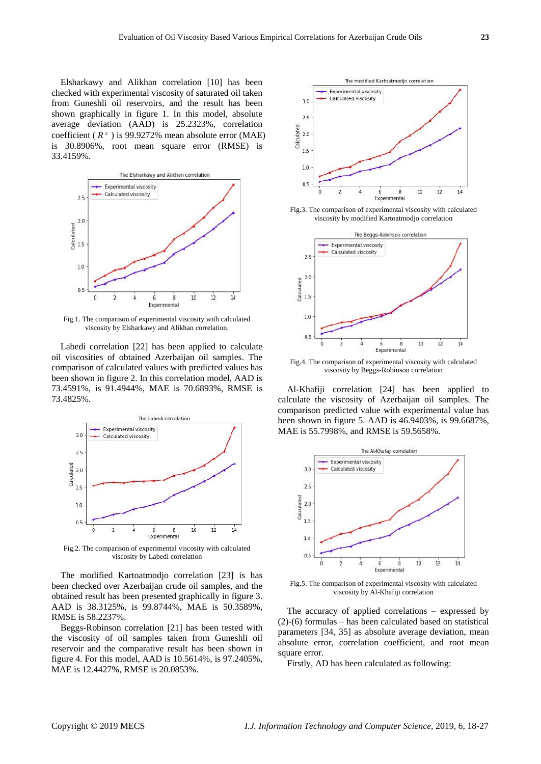Elsharkawy and Alikhan correlation [10] has been checked with experimental viscosity of saturated oil taken from Guneshli oil reservoirs, and the result has been shown graphically in figure 1. In this model, absolute average deviation (AAD) is 25.2323%, correlation coefficient  $(R^2)$  is 99.9272% mean absolute error (MAE) is 30.8906%, root mean square error (RMSE) is 33.4159%.



Fig.1. The comparison of experimental viscosity with calculated viscosity by Elsharkawy and Alikhan correlation.

Labedi correlation [22] has been applied to calculate oil viscosities of obtained Azerbaijan oil samples. The comparison of calculated values with predicted values has been shown in figure 2. In this correlation model, AAD is 73.4591%, is 91.4944%, MAE is 70.6893%, RMSE is 73.4825%.



Fig.2. The comparison of experimental viscosity with calculated viscosity by Labedi correlation

The modified Kartoatmodjo correlation [23] is has been checked over Azerbaijan crude oil samples, and the obtained result has been presented graphically in figure 3. AAD is 38.3125%, is 99.8744%, MAE is 50.3589%, RMSE is 58.2237%.

Beggs-Robinson correlation [21] has been tested with the viscosity of oil samples taken from Guneshli oil reservoir and the comparative result has been shown in figure 4. For this model, AAD is 10.5614%, is 97.2405%, MAE is 12.4427%, RMSE is 20.0853%.



Fig.3. The comparison of experimental viscosity with calculated viscosity by modified Kartoatmodjo correlation



Fig.4. The comparison of experimental viscosity with calculated viscosity by Beggs-Robinson correlation

Al-Khafiji correlation [24] has been applied to calculate the viscosity of Azerbaijan oil samples. The comparison predicted value with experimental value has been shown in figure 5. AAD is 46.9403%, is 99.6687%, MAE is 55.7998%, and RMSE is 59.5658%.



Fig.5. The comparison of experimental viscosity with calculated viscosity by Al-Khafiji correlation

The accuracy of applied correlations – expressed by (2)-(6) formulas – has been calculated based on statistical parameters [34, 35] as absolute average deviation, mean absolute error, correlation coefficient, and root mean square error.

Firstly, AD has been calculated as following: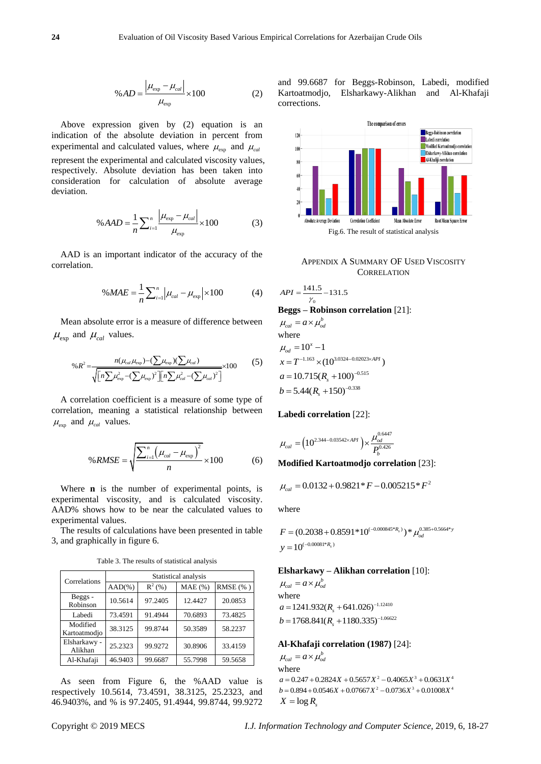$$
\%AD = \frac{\left|\mu_{\exp} - \mu_{cal}\right|}{\mu_{\exp}} \times 100\tag{2}
$$

Above expression given by (2) equation is an indication of the absolute deviation in percent from experimental and calculated values, where  $\mu_{\text{exp}}$  and  $\mu_{\text{cal}}$ represent the experimental and calculated viscosity values, respectively. Absolute deviation has been taken into consideration for calculation of absolute average deviation.

$$
\% AAD = \frac{1}{n} \sum_{i=1}^{n} \frac{\left| \mu_{\exp} - \mu_{cal} \right|}{\mu_{\exp}} \times 100
$$
 (3)

AAD is an important indicator of the accuracy of the correlation.

$$
\%MAE = \frac{1}{n} \sum_{i=1}^{n} \left| \mu_{cal} - \mu_{\exp} \right| \times 100
$$
 (4)

Mean absolute error is a measure of difference between  $\mu_{\text{exp}}$  and  $\mu_{\text{cal}}$  values.

and 
$$
\mu_{cal}
$$
 values.  
\n
$$
\%R^2 = \frac{n(\mu_{cal} \mu_{exp}) - (\sum \mu_{exp})(\sum \mu_{cal})}{\sqrt{[n \sum \mu_{exp}^2 - (\sum \mu_{exp})^2][n \sum \mu_{cal}^2 - (\sum \mu_{cal})^2]}} \times 100
$$
\n(5)

A correlation coefficient is a measure of some type of correlation, meaning a statistical relationship between  $\mu_{\text{exp}}$  and  $\mu_{\text{cal}}$  values.

$$
\%RMSE = \sqrt{\frac{\sum_{i=1}^{n} (\mu_{cal} - \mu_{exp})^2}{n}} \times 100
$$
 (6)

Where **n** is the number of experimental points, is experimental viscosity, and is calculated viscosity. AAD% shows how to be near the calculated values to experimental values.

The results of calculations have been presented in table 3, and graphically in figure 6.

Table 3. The results of statistical analysis

| Correlations             | Statistical analysis |          |           |          |  |  |
|--------------------------|----------------------|----------|-----------|----------|--|--|
|                          | $AAD(\% )$           | $R^2(%)$ | $MAE$ (%) | RMSE (%) |  |  |
| Beggs -<br>Robinson      | 10.5614              | 97.2405  | 12.4427   | 20.0853  |  |  |
| Labedi                   | 73.4591              | 91.4944  | 70.6893   | 73.4825  |  |  |
| Modified<br>Kartoatmodio | 38.3125              | 99.8744  | 50.3589   | 58.2237  |  |  |
| Elsharkawy -<br>Alikhan  | 25.2323              | 99.9272  | 30.8906   | 33.4159  |  |  |
| Al-Khafaji               | 46.9403              | 99.6687  | 55.7998   | 59.5658  |  |  |

As seen from Figure 6, the %AAD value is respectively 10.5614, 73.4591, 38.3125, 25.2323, and 46.9403%, and % is 97.2405, 91.4944, 99.8744, 99.9272 and 99.6687 for Beggs-Robinson, Labedi, modified Kartoatmodjo, Elsharkawy-Alikhan and Al-Khafaji corrections.



APPENDIX A SUMMARY OF USED VISCOSITY **CORRELATION** 

$$
API = \frac{141.5}{\gamma_0} - 131.5
$$

**Beggs – Robinson correlation** [21]:

 $\mu_{\text{cal}} = a \times \mu_{\text{od}}^b$ where  $\mu_{od} = 10^{x} - 1$  $x = T^{-1.163} \times (10^{3.0324 - 0.02023 \times API})$  $a = 10.715(R<sub>s</sub> + 100)^{-0.515}$  $b = 5.44(R<sub>s</sub> + 150)^{-0.338}$ 

# **Labedi correlation** [22]:

$$
\mu_{cal}=\left(10^{2.344-0.03542 \times API}\right) \times \frac{\mu_{od}^{0.6447}}{P_b^{0.426}}
$$

**Modified Kartoatmodjo correlation** [23]:

$$
\mu_{cal} = 0.0132 + 0.9821 * F - 0.005215 * F^2
$$

where

 $F = (0.2038 + 0.8591 * 10^{(-0.000845 * R_s)}) * \mu_{od}^{0.385 + 0.5664 * y}$  $=(0.2038+0.859)$  $y = 10^{(-0.00081 * R_s)}$ 

# **Elsharkawy – Alikhan correlation** [10]:

 $\mu_{\text{cal}} = a \times \mu_{\text{od}}^b$ where  $a = 1241.932(R<sub>s</sub> + 641.026)^{-1.12410}$  $b = 1768.841(R<sub>s</sub> + 1180.335)^{-1.06622}$ 

#### **Al-Khafaji correlation (1987)** [24]:

 $\mu_{\text{cal}} = a \times \mu_{\text{od}}^b$ where  $a = 0.247 + 0.2824X + 0.5657X^2 - 0.4065X^3 + 0.0631X^4$ <br> $b = 0.894 + 0.0546X + 0.07667X^2 - 0.0736X^3 + 0.01008X^4$  $X = \log R$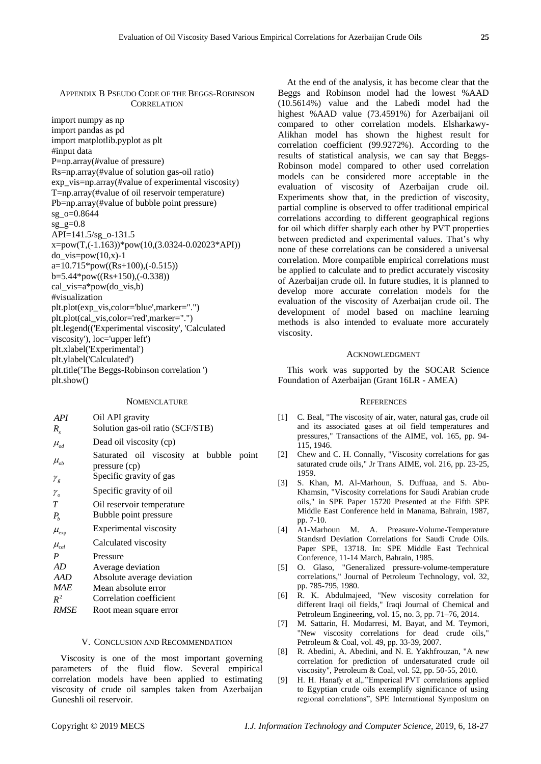APPENDIX B PSEUDO CODE OF THE BEGGS-ROBINSON **CORRELATION** 

import numpy as np import pandas as pd import matplotlib.pyplot as plt #input data P=np.array(#value of pressure) Rs=np.array(#value of solution gas-oil ratio) exp\_vis=np.array(#value of experimental viscosity) T=np.array(#value of oil reservoir temperature) Pb=np.array(#value of bubble point pressure) sg\_o=0.8644 sg  $g=0.8$ API=141.5/sg\_o-131.5 x=pow(T,(-1.163))\*pow(10,(3.0324-0.02023\*API)) do vis=pow $(10,x)$ -1  $a=10.715*pow((Rs+100), (-0.515))$ b=5.44\*pow((Rs+150),(-0.338)) cal\_vis=a\*pow(do\_vis,b) #visualization plt.plot(exp\_vis,color='blue',marker=".") plt.plot(cal\_vis,color='red',marker=".") plt.legend(('Experimental viscosity', 'Calculated viscosity'), loc='upper left') plt.xlabel('Experimental') plt.ylabel('Calculated') plt.title('The Beggs-Robinson correlation ') plt.show()

**NOMENCLATURE** 

| API                                   | Oil API gravity                                          |
|---------------------------------------|----------------------------------------------------------|
| $R_{\rm c}$                           | Solution gas-oil ratio (SCF/STB)                         |
| $\mu_{od}$                            | Dead oil viscosity (cp)                                  |
| $\mu_{ob}$                            | Saturated oil viscosity at bubble point<br>pressure (cp) |
| $\mathcal{V}_g$                       | Specific gravity of gas                                  |
| $\gamma_{\scriptscriptstyle{\alpha}}$ | Specific gravity of oil                                  |
| T                                     | Oil reservoir temperature                                |
| $P_{b}$                               | Bubble point pressure                                    |
| $\mu_{\text{exp}}$                    | Experimental viscosity                                   |
| $\mu_{\scriptscriptstyle{cal}}$       | Calculated viscosity                                     |
| P                                     | Pressure                                                 |
| AD                                    | Average deviation                                        |
| AAD                                   | Absolute average deviation                               |
| MAE                                   | Mean absolute error                                      |
| $R^2$                                 | Correlation coefficient                                  |
| <b>RMSE</b>                           | Root mean square error                                   |

## V. CONCLUSION AND RECOMMENDATION

Viscosity is one of the most important governing parameters of the fluid flow. Several empirical correlation models have been applied to estimating viscosity of crude oil samples taken from Azerbaijan Guneshli oil reservoir.

At the end of the analysis, it has become clear that the Beggs and Robinson model had the lowest %AAD (10.5614%) value and the Labedi model had the highest %AAD value (73.4591%) for Azerbaijani oil compared to other correlation models. Elsharkawy-Alikhan model has shown the highest result for correlation coefficient (99.9272%). According to the results of statistical analysis, we can say that Beggs-Robinson model compared to other used correlation models can be considered more acceptable in the evaluation of viscosity of Azerbaijan crude oil. Experiments show that, in the prediction of viscosity, partial compline is observed to offer traditional empirical correlations according to different geographical regions for oil which differ sharply each other by PVT properties between predicted and experimental values. That's why none of these correlations can be considered a universal correlation. More compatible empirical correlations must be applied to calculate and to predict accurately viscosity of Azerbaijan crude oil. In future studies, it is planned to develop more accurate correlation models for the evaluation of the viscosity of Azerbaijan crude oil. The development of model based on machine learning methods is also intended to evaluate more accurately viscosity.

## ACKNOWLEDGMENT

This work was supported by the SOCAR Science Foundation of Azerbaijan (Grant 16LR - AMEA)

#### **REFERENCES**

- [1] C. Beal, "The viscosity of air, water, natural gas, crude oil and its associated gases at oil field temperatures and pressures," Transactions of the AIME, vol. 165, pp. 94- 115, 1946.
- [2] Chew and C. H. Connally, "Viscosity correlations for gas saturated crude oils," Jr Trans AIME, vol. 216, pp. 23-25, 1959.
- [3] S. Khan, M. Al-Marhoun, S. Duffuaa, and S. Abu-Khamsin, "Viscosity correlations for Saudi Arabian crude oils," in SPE Paper 15720 Presented at the Fifth SPE Middle East Conference held in Manama, Bahrain, 1987, pp. 7-10.
- [4] A1-Marhoun M. A. Preasure-Volume-Temperature Standsrd Deviation Correlations for Saudi Crude Oils. Paper SPE, 13718. In: SPE Middle East Technical Conference, 11-14 March, Bahrain, 1985.
- [5] O. Glaso, "Generalized pressure-volume-temperature correlations," Journal of Petroleum Technology, vol. 32, pp. 785-795, 1980.
- [6] R. K. Abdulmajeed, "New viscosity correlation for different Iraqi oil fields," Iraqi Journal of Chemical and Petroleum Engineering, vol. 15, no. 3, pp. 71–76, 2014.
- [7] M. Sattarin, H. Modarresi, M. Bayat, and M. Teymori, "New viscosity correlations for dead crude oils," Petroleum & Coal, vol. 49, pp. 33-39, 2007.
- [8] R. Abedini, A. Abedini, and N. E. Yakhfrouzan, "A new correlation for prediction of undersaturated crude oil viscosity", Petroleum & Coal, vol. 52, pp. 50-55, 2010.
- [9] H. H. Hanafy et al,."Emperical PVT correlations applied to Egyptian crude oils exemplify significance of using regional correlations", SPE International Symposium on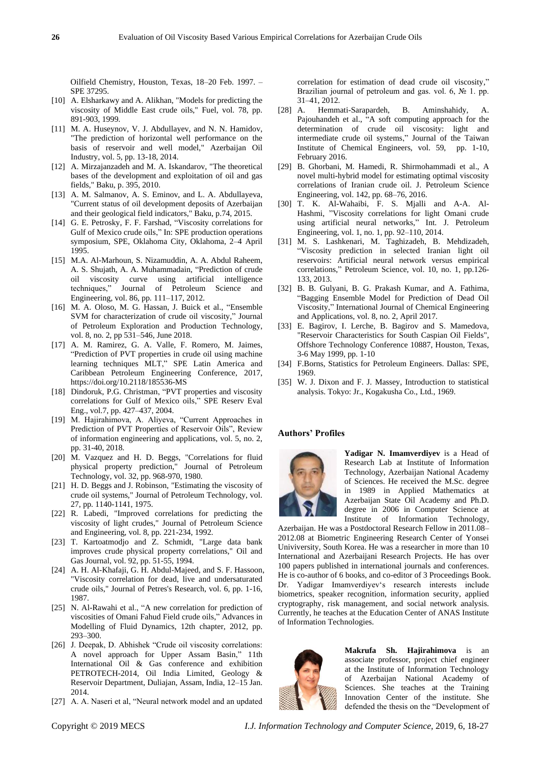Oilfield Chemistry, Houston, Texas, 18–20 Feb. 1997. – SPE 37295.

- [10] A. Elsharkawy and A. Alikhan, "Models for predicting the viscosity of Middle East crude oils," Fuel, vol. 78, pp. 891-903, 1999.
- [11] M. A. Huseynov, V. J. Abdullayev, and N. N. Hamidov, "The prediction of horizontal well performance on the basis of reservoir and well model," Azerbaijan Oil Industry, vol. 5, pp. 13-18, 2014.
- [12] A. Mirzajanzadeh and M. A. Iskandarov, "The theoretical bases of the development and exploitation of oil and gas fields," Baku, p. 395, 2010.
- [13] A. M. Salmanov, A. S. Eminov, and L. A. Abdullayeva, "Current status of oil development deposits of Azerbaijan and their geological field indicators," Baku, p.74, 2015.
- [14] G. E. Petrosky, F. F. Farshad, "Viscosity correlations for Gulf of Mexico crude oils," In: SPE production operations symposium, SPE, Oklahoma City, Oklahoma, 2–4 April 1995.
- [15] M.A. Al-Marhoun, S. Nizamuddin, A. A. Abdul Raheem, A. S. Shujath, A. A. Muhammadain, "Prediction of crude oil viscosity curve using artificial intelligence techniques," Journal of Petroleum Science and Engineering, vol. 86, pp. 111–117, 2012.
- [16] M. A. Oloso, M. G. Hassan, J. Buick et al., "Ensemble SVM for characterization of crude oil viscosity," Journal of Petroleum Exploration and Production Technology, vol. 8, no. 2, pp 531–546, June 2018.
- [17] A. M. Ramirez, G. A. Valle, F. Romero, M. Jaimes, "Prediction of PVT properties in crude oil using machine learning techniques MLT," SPE Latin America and Caribbean Petroleum Engineering Conference, 2017, https://doi.org/10.2118/185536-MS
- [18] Dindoruk, P.G. Christman, "PVT properties and viscosity correlations for Gulf of Mexico oils," SPE Reserv Eval Eng., vol.7, pp. 427–437, 2004.
- [19] M. Hajirahimova, A. Aliyeva, "Current Approaches in Prediction of PVT Properties of Reservoir Oils", Review of information engineering and applications, vol. 5, no. 2, pp. 31-40, 2018.
- [20] M. Vazquez and H. D. Beggs, "Correlations for fluid physical property prediction," Journal of Petroleum Technology, vol. 32, pp. 968-970, 1980.
- [21] H. D. Beggs and J. Robinson, "Estimating the viscosity of crude oil systems," Journal of Petroleum Technology, vol. 27, pp. 1140-1141, 1975.
- [22] R. Labedi, "Improved correlations for predicting the viscosity of light crudes," Journal of Petroleum Science and Engineering, vol. 8, pp. 221-234, 1992.
- [23] T. Kartoatmodjo and Z. Schmidt, "Large data bank improves crude physical property correlations," Oil and Gas Journal, vol. 92, pp. 51-55, 1994.
- [24] A. H. Al-Khafaji, G. H. Abdul-Majeed, and S. F. Hassoon, "Viscosity correlation for dead, live and undersaturated crude oils," Journal of Petres's Research, vol. 6, pp. 1-16, 1987.
- [25] N. Al-Rawahi et al., "A new correlation for prediction of viscosities of Omani Fahud Field crude oils," Advances in Modelling of Fluid Dynamics, 12th chapter, 2012, pp. 293–300.
- [26] J. Deepak, D. Abhishek "Crude oil viscosity correlations: A novel approach for Upper Assam Basin," 11th International Oil & Gas conference and exhibition PETROTECH-2014, Oil India Limited, Geology & Reservoir Department, Duliajan, Assam, India, 12–15 Jan. 2014.
- [27] A. A. Naseri et al, "Neural network model and an updated

correlation for estimation of dead crude oil viscosity," Brazilian journal of petroleum and gas. vol. 6, № 1. pp. 31–41, 2012.

- [28] A. Hemmati-Sarapardeh, B. Aminshahidy, A. Pajouhandeh et al., "A soft computing approach for the determination of crude oil viscosity: light and intermediate crude oil systems," Journal of the Taiwan Institute of Chemical Engineers, vol. 59, pp. 1-10, February 2016.
- [29] B. Ghorbani, M. Hamedi, R. Shirmohammadi et al., A novel multi-hybrid model for estimating optimal viscosity correlations of Iranian crude oil. J. Petroleum Science Engineering, vol. 142, pp. 68–76, 2016.
- [30] T. K. Al-Wahaibi, F. S. Mjalli and A-A. Al-Hashmi, "Viscosity correlations for light Omani crude using artificial neural networks," Int. J. Petroleum Engineering, vol. 1, no. 1, pp. 92–110, 2014.
- [31] M. S. Lashkenari, M. Taghizadeh, B. Mehdizadeh, "Viscosity prediction in selected Iranian light oil reservoirs: Artificial neural network versus empirical correlations," Petroleum Science, vol. 10, no. 1, pp.126- 133, 2013.
- [32] B. B. Gulyani, B. G. Prakash Kumar, and A. Fathima, "Bagging Ensemble Model for Prediction of Dead Oil Viscosity," International Journal of Chemical Engineering and Applications, vol. 8, no. 2, April 2017.
- [33] E. Bagirov, I. Lerche, B. Bagirov and S. Mamedova, "Reservoir Characteristics for South Caspian Oil Fields", Offshore Technology Conference 10887, Houston, Texas, 3-6 May 1999, pp. 1-10
- [34] F.Borns, Statistics for Petroleum Engineers. Dallas: SPE, 1969.
- [35] W. J. Dixon and F. J. Massey, Introduction to statistical analysis. Tokyo: Jr., Kogakusha Co., Ltd., 1969.

#### **Authors' Profiles**



**Yadigar N. Imamverdiyev** is a Head of Research Lab at Institute of Information Technology, Azerbaijan National Academy of Sciences. He received the M.Sc. degree in 1989 in Applied Mathematics at Azerbaijan State Oil Academy and Ph.D. degree in 2006 in Computer Science at Institute of Information Technology,

Azerbaijan. He was a Postdoctoral Research Fellow in 2011.08– 2012.08 at Biometric Engineering Research Center of Yonsei Univiversity, South Korea. He was a researcher in more than 10 International and Azerbaijani Research Projects. He has over 100 papers published in international journals and conferences. He is co-author of 6 books, and co-editor of 3 Proceedings Book. Dr. Yadigar Imamverdiyev"s research interests include biometrics, speaker recognition, information security, applied cryptography, risk management, and social network analysis. Currently, he teaches at the Education Center of ANAS Institute of Information Technologies.



**Makrufa Sh. Hajirahimova** is an associate professor, project chief engineer at the Institute of Information Technology of Azerbaijan National Academy of Sciences. She teaches at the Training Innovation Center of the institute. She defended the thesis on the "Development of